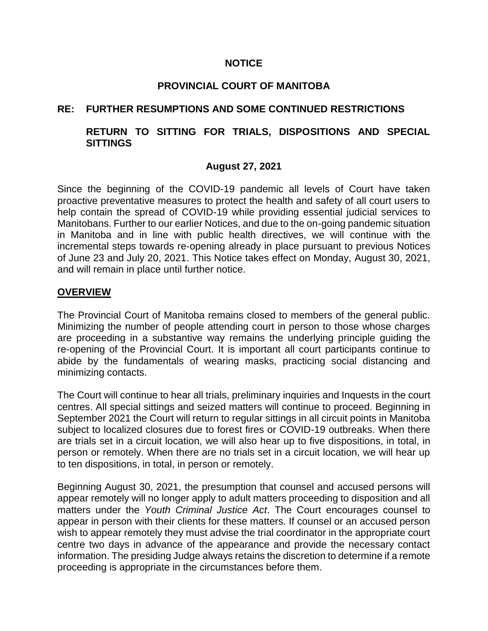### **NOTICE**

# **PROVINCIAL COURT OF MANITOBA**

# **RE: FURTHER RESUMPTIONS AND SOME CONTINUED RESTRICTIONS**

# **RETURN TO SITTING FOR TRIALS, DISPOSITIONS AND SPECIAL SITTINGS**

# **August 27, 2021**

Since the beginning of the COVID-19 pandemic all levels of Court have taken proactive preventative measures to protect the health and safety of all court users to help contain the spread of COVID-19 while providing essential judicial services to Manitobans. Further to our earlier Notices, and due to the on-going pandemic situation in Manitoba and in line with public health directives, we will continue with the incremental steps towards re-opening already in place pursuant to previous Notices of June 23 and July 20, 2021. This Notice takes effect on Monday, August 30, 2021, and will remain in place until further notice.

### **OVERVIEW**

The Provincial Court of Manitoba remains closed to members of the general public. Minimizing the number of people attending court in person to those whose charges are proceeding in a substantive way remains the underlying principle guiding the re-opening of the Provincial Court. It is important all court participants continue to abide by the fundamentals of wearing masks, practicing social distancing and minimizing contacts.

The Court will continue to hear all trials, preliminary inquiries and Inquests in the court centres. All special sittings and seized matters will continue to proceed. Beginning in September 2021 the Court will return to regular sittings in all circuit points in Manitoba subject to localized closures due to forest fires or COVID-19 outbreaks. When there are trials set in a circuit location, we will also hear up to five dispositions, in total, in person or remotely. When there are no trials set in a circuit location, we will hear up to ten dispositions, in total, in person or remotely.

Beginning August 30, 2021, the presumption that counsel and accused persons will appear remotely will no longer apply to adult matters proceeding to disposition and all matters under the *Youth Criminal Justice Act*. The Court encourages counsel to appear in person with their clients for these matters. If counsel or an accused person wish to appear remotely they must advise the trial coordinator in the appropriate court centre two days in advance of the appearance and provide the necessary contact information. The presiding Judge always retains the discretion to determine if a remote proceeding is appropriate in the circumstances before them.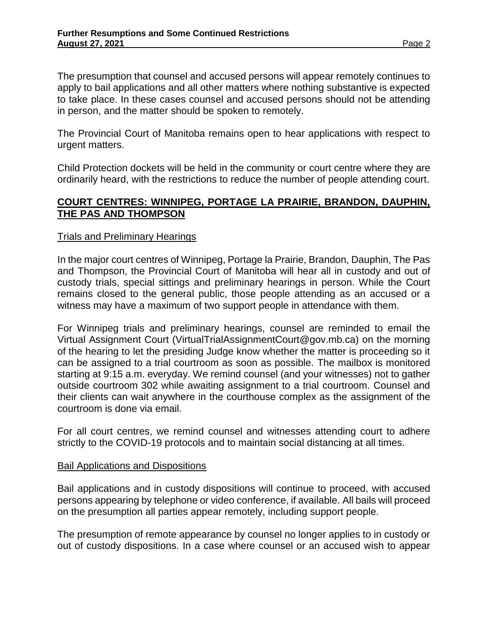The presumption that counsel and accused persons will appear remotely continues to apply to bail applications and all other matters where nothing substantive is expected to take place. In these cases counsel and accused persons should not be attending in person, and the matter should be spoken to remotely.

The Provincial Court of Manitoba remains open to hear applications with respect to urgent matters.

Child Protection dockets will be held in the community or court centre where they are ordinarily heard, with the restrictions to reduce the number of people attending court.

# **COURT CENTRES: WINNIPEG, PORTAGE LA PRAIRIE, BRANDON, DAUPHIN, THE PAS AND THOMPSON**

### Trials and Preliminary Hearings

In the major court centres of Winnipeg, Portage la Prairie, Brandon, Dauphin, The Pas and Thompson, the Provincial Court of Manitoba will hear all in custody and out of custody trials, special sittings and preliminary hearings in person. While the Court remains closed to the general public, those people attending as an accused or a witness may have a maximum of two support people in attendance with them.

For Winnipeg trials and preliminary hearings, counsel are reminded to email the Virtual Assignment Court (VirtualTrialAssignmentCourt@gov.mb.ca) on the morning of the hearing to let the presiding Judge know whether the matter is proceeding so it can be assigned to a trial courtroom as soon as possible. The mailbox is monitored starting at 9:15 a.m. everyday. We remind counsel (and your witnesses) not to gather outside courtroom 302 while awaiting assignment to a trial courtroom. Counsel and their clients can wait anywhere in the courthouse complex as the assignment of the courtroom is done via email.

For all court centres, we remind counsel and witnesses attending court to adhere strictly to the COVID-19 protocols and to maintain social distancing at all times.

#### Bail Applications and Dispositions

Bail applications and in custody dispositions will continue to proceed, with accused persons appearing by telephone or video conference, if available. All bails will proceed on the presumption all parties appear remotely, including support people.

The presumption of remote appearance by counsel no longer applies to in custody or out of custody dispositions. In a case where counsel or an accused wish to appear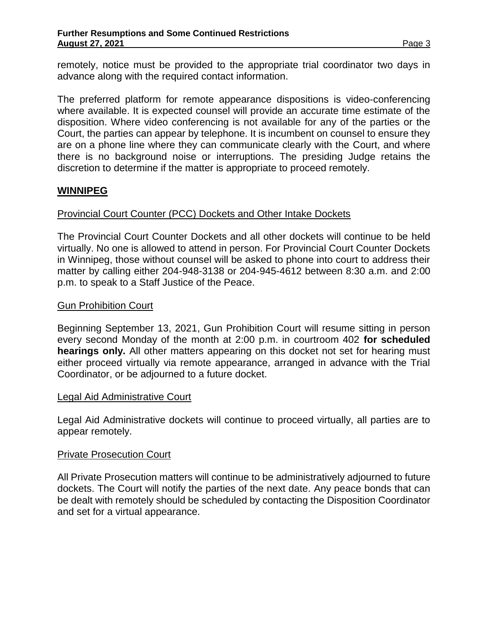remotely, notice must be provided to the appropriate trial coordinator two days in advance along with the required contact information.

The preferred platform for remote appearance dispositions is video-conferencing where available. It is expected counsel will provide an accurate time estimate of the disposition. Where video conferencing is not available for any of the parties or the Court, the parties can appear by telephone. It is incumbent on counsel to ensure they are on a phone line where they can communicate clearly with the Court, and where there is no background noise or interruptions. The presiding Judge retains the discretion to determine if the matter is appropriate to proceed remotely.

# **WINNIPEG**

# Provincial Court Counter (PCC) Dockets and Other Intake Dockets

The Provincial Court Counter Dockets and all other dockets will continue to be held virtually. No one is allowed to attend in person. For Provincial Court Counter Dockets in Winnipeg, those without counsel will be asked to phone into court to address their matter by calling either 204-948-3138 or 204-945-4612 between 8:30 a.m. and 2:00 p.m. to speak to a Staff Justice of the Peace.

### Gun Prohibition Court

Beginning September 13, 2021, Gun Prohibition Court will resume sitting in person every second Monday of the month at 2:00 p.m. in courtroom 402 **for scheduled hearings only.** All other matters appearing on this docket not set for hearing must either proceed virtually via remote appearance, arranged in advance with the Trial Coordinator, or be adjourned to a future docket.

#### Legal Aid Administrative Court

Legal Aid Administrative dockets will continue to proceed virtually, all parties are to appear remotely.

#### Private Prosecution Court

All Private Prosecution matters will continue to be administratively adjourned to future dockets. The Court will notify the parties of the next date. Any peace bonds that can be dealt with remotely should be scheduled by contacting the Disposition Coordinator and set for a virtual appearance.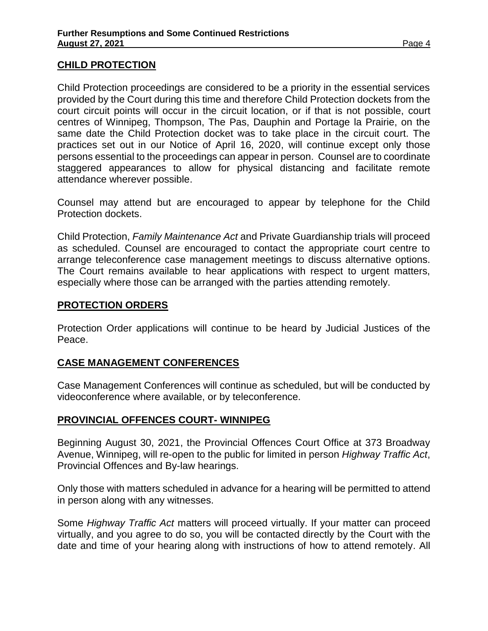### **CHILD PROTECTION**

Child Protection proceedings are considered to be a priority in the essential services provided by the Court during this time and therefore Child Protection dockets from the court circuit points will occur in the circuit location, or if that is not possible, court centres of Winnipeg, Thompson, The Pas, Dauphin and Portage la Prairie, on the same date the Child Protection docket was to take place in the circuit court. The practices set out in our Notice of April 16, 2020, will continue except only those persons essential to the proceedings can appear in person. Counsel are to coordinate staggered appearances to allow for physical distancing and facilitate remote attendance wherever possible.

Counsel may attend but are encouraged to appear by telephone for the Child Protection dockets.

Child Protection, *Family Maintenance Act* and Private Guardianship trials will proceed as scheduled. Counsel are encouraged to contact the appropriate court centre to arrange teleconference case management meetings to discuss alternative options. The Court remains available to hear applications with respect to urgent matters, especially where those can be arranged with the parties attending remotely.

### **PROTECTION ORDERS**

Protection Order applications will continue to be heard by Judicial Justices of the Peace.

# **CASE MANAGEMENT CONFERENCES**

Case Management Conferences will continue as scheduled, but will be conducted by videoconference where available, or by teleconference.

#### **PROVINCIAL OFFENCES COURT- WINNIPEG**

Beginning August 30, 2021, the Provincial Offences Court Office at 373 Broadway Avenue, Winnipeg, will re-open to the public for limited in person *Highway Traffic Act*, Provincial Offences and By-law hearings.

Only those with matters scheduled in advance for a hearing will be permitted to attend in person along with any witnesses.

Some *Highway Traffic Act* matters will proceed virtually. If your matter can proceed virtually, and you agree to do so, you will be contacted directly by the Court with the date and time of your hearing along with instructions of how to attend remotely. All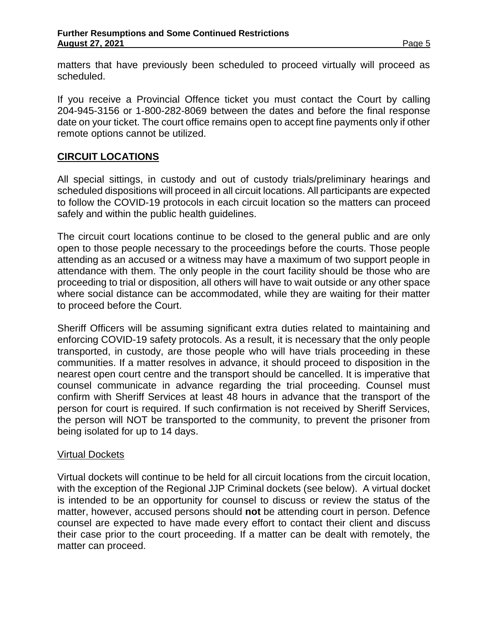matters that have previously been scheduled to proceed virtually will proceed as scheduled.

If you receive a Provincial Offence ticket you must contact the Court by calling 204-945-3156 or 1-800-282-8069 between the dates and before the final response date on your ticket. The court office remains open to accept fine payments only if other remote options cannot be utilized.

# **CIRCUIT LOCATIONS**

All special sittings, in custody and out of custody trials/preliminary hearings and scheduled dispositions will proceed in all circuit locations. All participants are expected to follow the COVID-19 protocols in each circuit location so the matters can proceed safely and within the public health guidelines.

The circuit court locations continue to be closed to the general public and are only open to those people necessary to the proceedings before the courts. Those people attending as an accused or a witness may have a maximum of two support people in attendance with them. The only people in the court facility should be those who are proceeding to trial or disposition, all others will have to wait outside or any other space where social distance can be accommodated, while they are waiting for their matter to proceed before the Court.

Sheriff Officers will be assuming significant extra duties related to maintaining and enforcing COVID-19 safety protocols. As a result, it is necessary that the only people transported, in custody, are those people who will have trials proceeding in these communities. If a matter resolves in advance, it should proceed to disposition in the nearest open court centre and the transport should be cancelled. It is imperative that counsel communicate in advance regarding the trial proceeding. Counsel must confirm with Sheriff Services at least 48 hours in advance that the transport of the person for court is required. If such confirmation is not received by Sheriff Services, the person will NOT be transported to the community, to prevent the prisoner from being isolated for up to 14 days.

#### Virtual Dockets

Virtual dockets will continue to be held for all circuit locations from the circuit location, with the exception of the Regional JJP Criminal dockets (see below). A virtual docket is intended to be an opportunity for counsel to discuss or review the status of the matter, however, accused persons should **not** be attending court in person. Defence counsel are expected to have made every effort to contact their client and discuss their case prior to the court proceeding. If a matter can be dealt with remotely, the matter can proceed.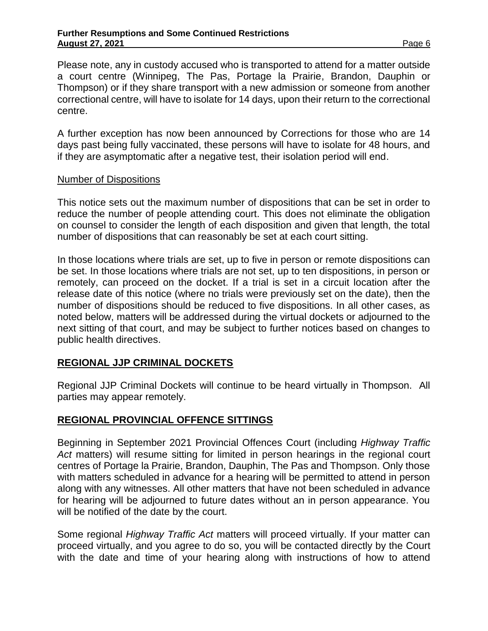Please note, any in custody accused who is transported to attend for a matter outside a court centre (Winnipeg, The Pas, Portage la Prairie, Brandon, Dauphin or Thompson) or if they share transport with a new admission or someone from another correctional centre, will have to isolate for 14 days, upon their return to the correctional centre.

A further exception has now been announced by Corrections for those who are 14 days past being fully vaccinated, these persons will have to isolate for 48 hours, and if they are asymptomatic after a negative test, their isolation period will end.

### Number of Dispositions

This notice sets out the maximum number of dispositions that can be set in order to reduce the number of people attending court. This does not eliminate the obligation on counsel to consider the length of each disposition and given that length, the total number of dispositions that can reasonably be set at each court sitting.

In those locations where trials are set, up to five in person or remote dispositions can be set. In those locations where trials are not set, up to ten dispositions, in person or remotely, can proceed on the docket. If a trial is set in a circuit location after the release date of this notice (where no trials were previously set on the date), then the number of dispositions should be reduced to five dispositions. In all other cases, as noted below, matters will be addressed during the virtual dockets or adjourned to the next sitting of that court, and may be subject to further notices based on changes to public health directives.

# **REGIONAL JJP CRIMINAL DOCKETS**

Regional JJP Criminal Dockets will continue to be heard virtually in Thompson. All parties may appear remotely.

# **REGIONAL PROVINCIAL OFFENCE SITTINGS**

Beginning in September 2021 Provincial Offences Court (including *Highway Traffic Act* matters) will resume sitting for limited in person hearings in the regional court centres of Portage la Prairie, Brandon, Dauphin, The Pas and Thompson. Only those with matters scheduled in advance for a hearing will be permitted to attend in person along with any witnesses. All other matters that have not been scheduled in advance for hearing will be adjourned to future dates without an in person appearance. You will be notified of the date by the court.

Some regional *Highway Traffic Act* matters will proceed virtually. If your matter can proceed virtually, and you agree to do so, you will be contacted directly by the Court with the date and time of your hearing along with instructions of how to attend